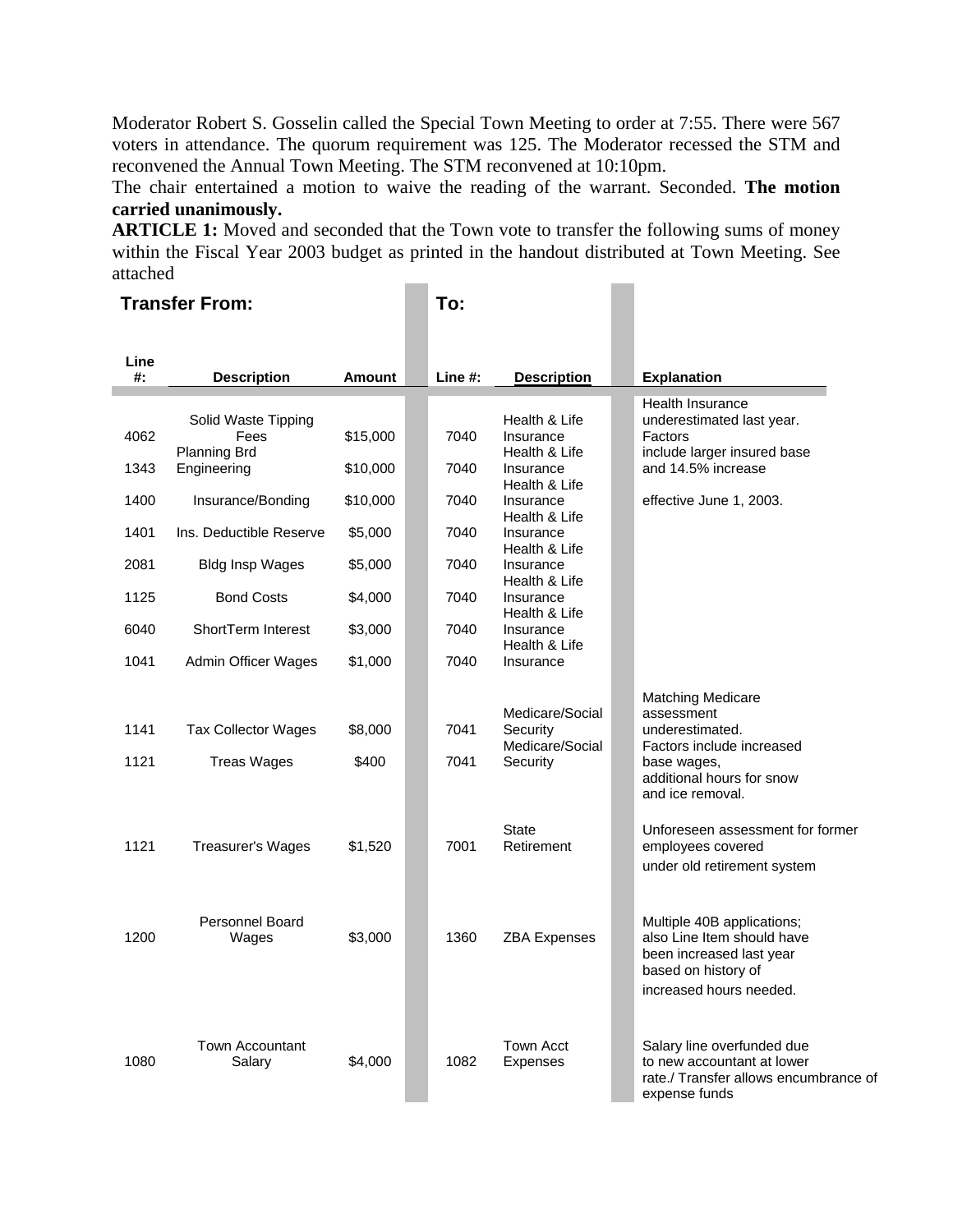Moderator Robert S. Gosselin called the Special Town Meeting to order at 7:55. There were 567 voters in attendance. The quorum requirement was 125. The Moderator recessed the STM and reconvened the Annual Town Meeting. The STM reconvened at 10:10pm.

The chair entertained a motion to waive the reading of the warrant. Seconded. **The motion carried unanimously.**

**ARTICLE 1:** Moved and seconded that the Town vote to transfer the following sums of money within the Fiscal Year 2003 budget as printed in the handout distributed at Town Meeting. See attached

#### **Transfer From: To:**

| Line<br>#: | <b>Description</b>                 | Amount   | Line $#$ : | <b>Description</b>         | <b>Explanation</b>                                |
|------------|------------------------------------|----------|------------|----------------------------|---------------------------------------------------|
|            |                                    |          |            |                            | Health Insurance                                  |
|            | Solid Waste Tipping                |          |            | Health & Life              | underestimated last year.                         |
| 4062       | Fees                               | \$15,000 | 7040       | Insurance<br>Health & Life | Factors                                           |
| 1343       | <b>Planning Brd</b><br>Engineering | \$10,000 | 7040       | Insurance                  | include larger insured base<br>and 14.5% increase |
|            |                                    |          |            | Health & Life              |                                                   |
| 1400       | Insurance/Bonding                  | \$10,000 | 7040       | Insurance                  | effective June 1, 2003.                           |
|            |                                    |          |            | Health & Life              |                                                   |
| 1401       | Ins. Deductible Reserve            | \$5,000  | 7040       | Insurance                  |                                                   |
| 2081       |                                    |          | 7040       | Health & Life              |                                                   |
|            | <b>Bldg Insp Wages</b>             | \$5,000  |            | Insurance<br>Health & Life |                                                   |
| 1125       | <b>Bond Costs</b>                  | \$4,000  | 7040       | Insurance                  |                                                   |
|            |                                    |          |            | Health & Life              |                                                   |
| 6040       | ShortTerm Interest                 | \$3,000  | 7040       | Insurance                  |                                                   |
|            |                                    |          |            | Health & Life              |                                                   |
| 1041       | Admin Officer Wages                | \$1,000  | 7040       | Insurance                  |                                                   |
|            |                                    |          |            |                            | <b>Matching Medicare</b>                          |
|            |                                    |          |            | Medicare/Social            | assessment                                        |
| 1141       | <b>Tax Collector Wages</b>         | \$8,000  | 7041       | Security                   | underestimated.                                   |
|            |                                    |          |            | Medicare/Social            | Factors include increased                         |
| 1121       | <b>Treas Wages</b>                 | \$400    | 7041       | Security                   | base wages,                                       |
|            |                                    |          |            |                            | additional hours for snow                         |
|            |                                    |          |            |                            | and ice removal.                                  |
|            |                                    |          |            | <b>State</b>               | Unforeseen assessment for former                  |
| 1121       | Treasurer's Wages                  | \$1,520  | 7001       | Retirement                 | employees covered                                 |
|            |                                    |          |            |                            | under old retirement system                       |
|            |                                    |          |            |                            |                                                   |
|            |                                    |          |            |                            |                                                   |
|            | <b>Personnel Board</b>             |          |            |                            | Multiple 40B applications;                        |
| 1200       | Wages                              | \$3,000  | 1360       | <b>ZBA Expenses</b>        | also Line Item should have                        |
|            |                                    |          |            |                            | been increased last year                          |
|            |                                    |          |            |                            | based on history of                               |
|            |                                    |          |            |                            | increased hours needed.                           |
|            |                                    |          |            |                            |                                                   |
|            | <b>Town Accountant</b>             |          |            | <b>Town Acct</b>           | Salary line overfunded due                        |
| 1080       | Salary                             | \$4,000  | 1082       | Expenses                   | to new accountant at lower                        |
|            |                                    |          |            |                            | rate./ Transfer allows encumbrance of             |
|            |                                    |          |            |                            | expense funds                                     |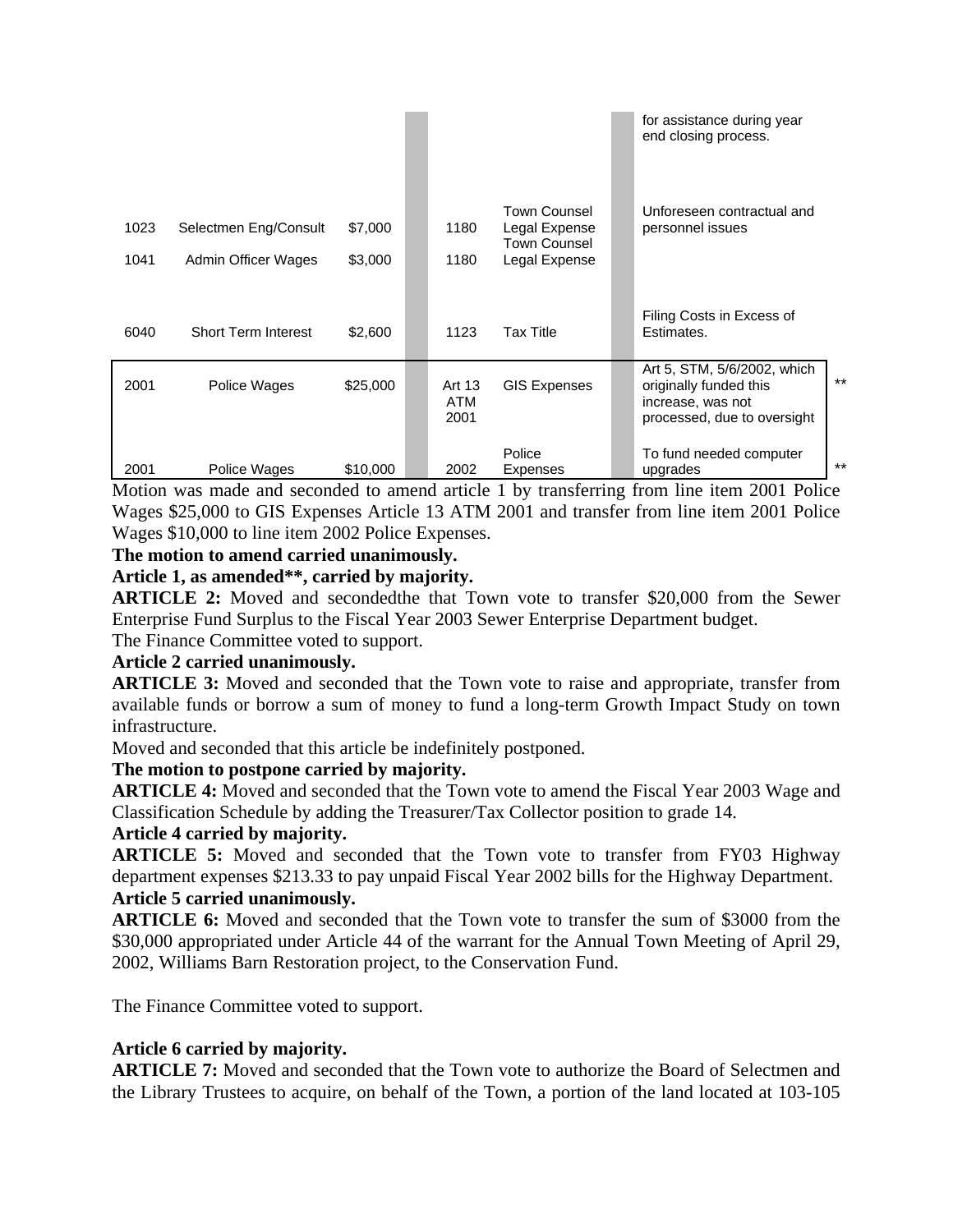|              |                                              |                    |                              |                                                                       | for assistance during year<br>end closing process.                                                        |       |
|--------------|----------------------------------------------|--------------------|------------------------------|-----------------------------------------------------------------------|-----------------------------------------------------------------------------------------------------------|-------|
| 1023<br>1041 | Selectmen Eng/Consult<br>Admin Officer Wages | \$7,000<br>\$3,000 | 1180<br>1180                 | <b>Town Counsel</b><br>Legal Expense<br>Town Counsel<br>Legal Expense | Unforeseen contractual and<br>personnel issues                                                            |       |
| 6040         | <b>Short Term Interest</b>                   | \$2,600            | 1123                         | <b>Tax Title</b>                                                      | Filing Costs in Excess of<br>Estimates.                                                                   |       |
| 2001         | Police Wages                                 | \$25,000           | Art 13<br><b>ATM</b><br>2001 | <b>GIS Expenses</b>                                                   | Art 5, STM, 5/6/2002, which<br>originally funded this<br>increase, was not<br>processed, due to oversight | $***$ |
| 2001         | Police Wages                                 | \$10,000           | 2002                         | Police<br>Expenses                                                    | To fund needed computer<br>upgrades                                                                       | $***$ |

Motion was made and seconded to amend article 1 by transferring from line item 2001 Police Wages \$25,000 to GIS Expenses Article 13 ATM 2001 and transfer from line item 2001 Police Wages \$10,000 to line item 2002 Police Expenses.

## **The motion to amend carried unanimously.**

#### **Article 1, as amended\*\*, carried by majority.**

**ARTICLE 2:** Moved and secondedthe that Town vote to transfer \$20,000 from the Sewer Enterprise Fund Surplus to the Fiscal Year 2003 Sewer Enterprise Department budget.

The Finance Committee voted to support.

#### **Article 2 carried unanimously.**

**ARTICLE 3:** Moved and seconded that the Town vote to raise and appropriate, transfer from available funds or borrow a sum of money to fund a long-term Growth Impact Study on town infrastructure.

Moved and seconded that this article be indefinitely postponed.

## **The motion to postpone carried by majority.**

**ARTICLE 4:** Moved and seconded that the Town vote to amend the Fiscal Year 2003 Wage and Classification Schedule by adding the Treasurer/Tax Collector position to grade 14.

## **Article 4 carried by majority.**

**ARTICLE 5:** Moved and seconded that the Town vote to transfer from FY03 Highway department expenses \$213.33 to pay unpaid Fiscal Year 2002 bills for the Highway Department. **Article 5 carried unanimously.**

**ARTICLE 6:** Moved and seconded that the Town vote to transfer the sum of \$3000 from the \$30,000 appropriated under Article 44 of the warrant for the Annual Town Meeting of April 29, 2002, Williams Barn Restoration project, to the Conservation Fund.

The Finance Committee voted to support.

## **Article 6 carried by majority.**

**ARTICLE 7:** Moved and seconded that the Town vote to authorize the Board of Selectmen and the Library Trustees to acquire, on behalf of the Town, a portion of the land located at 103-105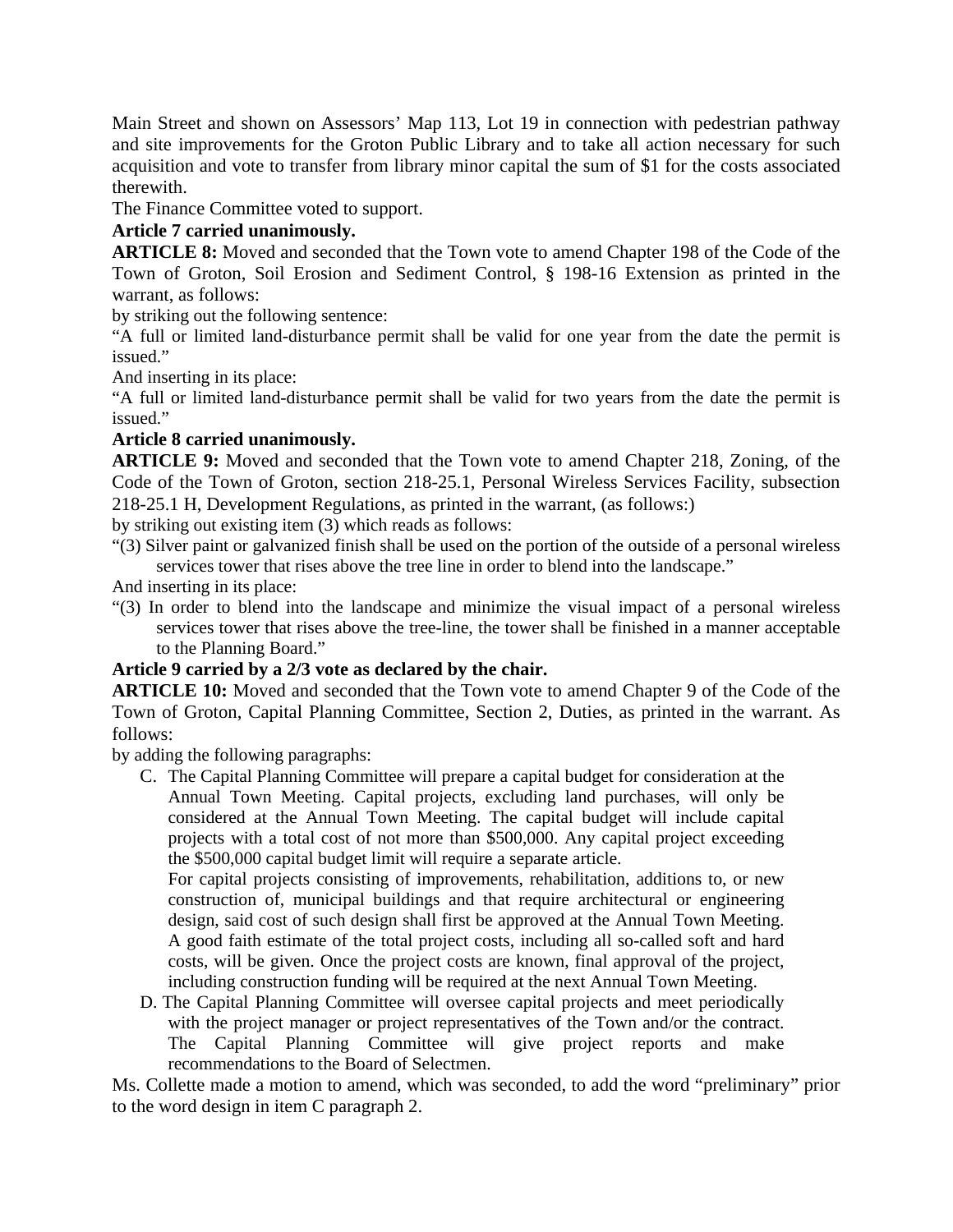Main Street and shown on Assessors' Map 113, Lot 19 in connection with pedestrian pathway and site improvements for the Groton Public Library and to take all action necessary for such acquisition and vote to transfer from library minor capital the sum of \$1 for the costs associated therewith.

The Finance Committee voted to support.

## **Article 7 carried unanimously.**

**ARTICLE 8:** Moved and seconded that the Town vote to amend Chapter 198 of the Code of the Town of Groton, Soil Erosion and Sediment Control, § 198-16 Extension as printed in the warrant, as follows:

by striking out the following sentence:

"A full or limited land-disturbance permit shall be valid for one year from the date the permit is issued."

And inserting in its place:

"A full or limited land-disturbance permit shall be valid for two years from the date the permit is issued."

#### **Article 8 carried unanimously.**

**ARTICLE 9:** Moved and seconded that the Town vote to amend Chapter 218, Zoning, of the Code of the Town of Groton, section 218-25.1, Personal Wireless Services Facility, subsection 218-25.1 H, Development Regulations, as printed in the warrant, (as follows:)

by striking out existing item (3) which reads as follows:

"(3) Silver paint or galvanized finish shall be used on the portion of the outside of a personal wireless services tower that rises above the tree line in order to blend into the landscape."

And inserting in its place:

"(3) In order to blend into the landscape and minimize the visual impact of a personal wireless services tower that rises above the tree-line, the tower shall be finished in a manner acceptable to the Planning Board."

# **Article 9 carried by a 2/3 vote as declared by the chair.**

**ARTICLE 10:** Moved and seconded that the Town vote to amend Chapter 9 of the Code of the Town of Groton, Capital Planning Committee, Section 2, Duties, as printed in the warrant. As follows:

by adding the following paragraphs:

C. The Capital Planning Committee will prepare a capital budget for consideration at the Annual Town Meeting. Capital projects, excluding land purchases, will only be considered at the Annual Town Meeting. The capital budget will include capital projects with a total cost of not more than \$500,000. Any capital project exceeding the \$500,000 capital budget limit will require a separate article.

For capital projects consisting of improvements, rehabilitation, additions to, or new construction of, municipal buildings and that require architectural or engineering design, said cost of such design shall first be approved at the Annual Town Meeting. A good faith estimate of the total project costs, including all so-called soft and hard costs, will be given. Once the project costs are known, final approval of the project, including construction funding will be required at the next Annual Town Meeting.

D. The Capital Planning Committee will oversee capital projects and meet periodically with the project manager or project representatives of the Town and/or the contract. The Capital Planning Committee will give project reports and make recommendations to the Board of Selectmen.

Ms. Collette made a motion to amend, which was seconded, to add the word "preliminary" prior to the word design in item C paragraph 2.